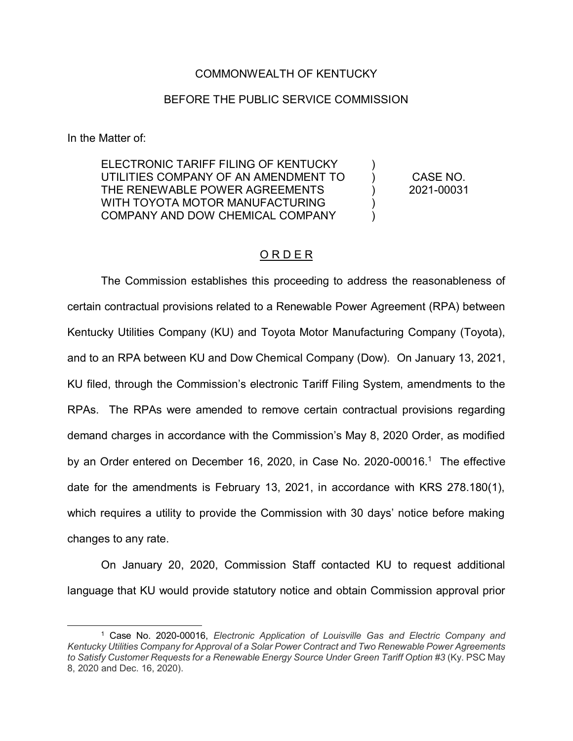### COMMONWEALTH OF KENTUCKY

#### BEFORE THE PUBLIC SERVICE COMMISSION

In the Matter of:

 $\overline{a}$ 

ELECTRONIC TARIFF FILING OF KENTUCKY UTILITIES COMPANY OF AN AMENDMENT TO THE RENEWABLE POWER AGREEMENTS WITH TOYOTA MOTOR MANUFACTURING COMPANY AND DOW CHEMICAL COMPANY

CASE NO. 2021-00031

)  $\lambda$ ) ) )

### O R D E R

The Commission establishes this proceeding to address the reasonableness of certain contractual provisions related to a Renewable Power Agreement (RPA) between Kentucky Utilities Company (KU) and Toyota Motor Manufacturing Company (Toyota), and to an RPA between KU and Dow Chemical Company (Dow). On January 13, 2021, KU filed, through the Commission's electronic Tariff Filing System, amendments to the RPAs. The RPAs were amended to remove certain contractual provisions regarding demand charges in accordance with the Commission's May 8, 2020 Order, as modified by an Order entered on December 16, 2020, in Case No. 2020-00016.1 The effective date for the amendments is February 13, 2021, in accordance with KRS 278.180(1), which requires a utility to provide the Commission with 30 days' notice before making changes to any rate.

On January 20, 2020, Commission Staff contacted KU to request additional language that KU would provide statutory notice and obtain Commission approval prior

<sup>1</sup> Case No. 2020-00016, *Electronic Application of Louisville Gas and Electric Company and Kentucky Utilities Company for Approval of a Solar Power Contract and Two Renewable Power Agreements to Satisfy Customer Requests for a Renewable Energy Source Under Green Tariff Option #3* (Ky. PSC May 8, 2020 and Dec. 16, 2020).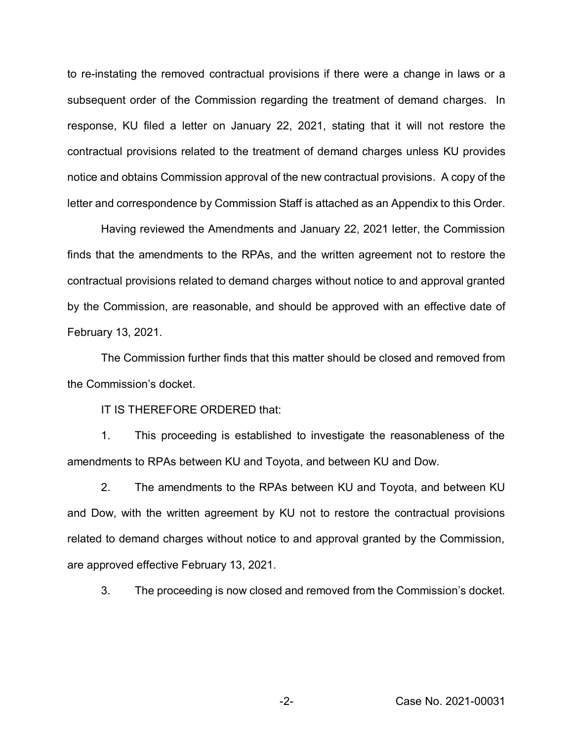to re-instating the removed contractual provisions if there were a change in laws or a subsequent order of the Commission regarding the treatment of demand charges. In response, KU filed a letter on January 22, 2021, stating that it will not restore the contractual provisions related to the treatment of demand charges unless KU provides notice and obtains Commission approval of the new contractual provisions. A copy of the letter and correspondence by Commission Staff is attached as an Appendix to this Order.

Having reviewed the Amendments and January 22, 2021 letter, the Commission finds that the amendments to the RPAs, and the written agreement not to restore the contractual provisions related to demand charges without notice to and approval granted by the Commission, are reasonable, and should be approved with an effective date of February 13, 2021.

The Commission further finds that this matter should be closed and removed from the Commission's docket.

IT IS THEREFORE ORDERED that:

1. This proceeding is established to investigate the reasonableness of the amendments to RPAs between KU and Toyota, and between KU and Dow.

2. The amendments to the RPAs between KU and Toyota, and between KU and Dow, with the written agreement by KU not to restore the contractual provisions related to demand charges without notice to and approval granted by the Commission, are approved effective February 13, 2021.

3. The proceeding is now closed and removed from the Commission's docket.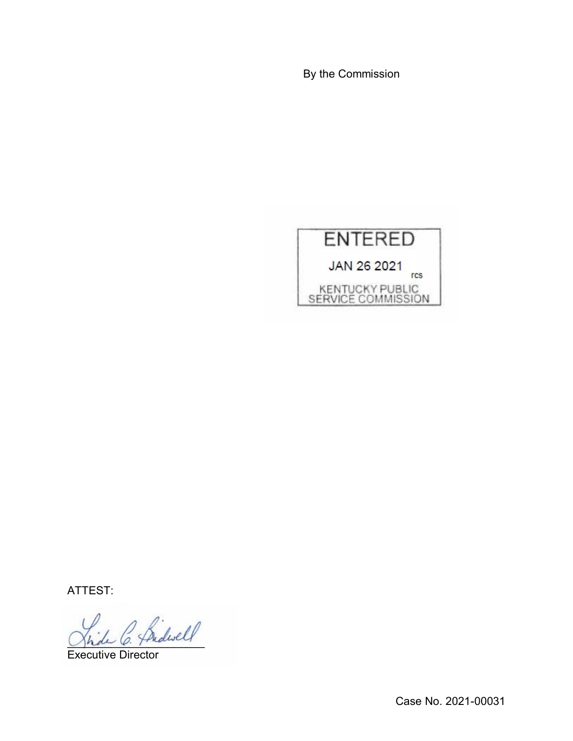By the Commission



ATTEST:

 $^{\prime}$  Sidwell

Executive Director

Case No. 2021-00031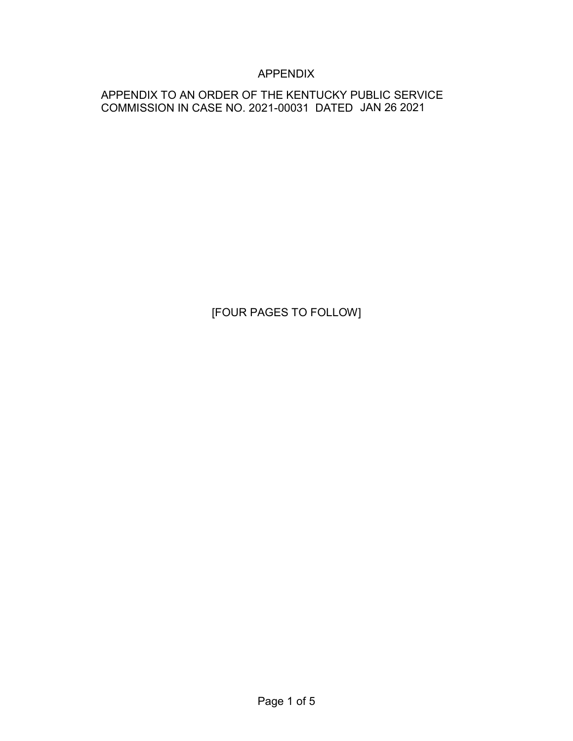## APPENDIX

## APPENDIX TO AN ORDER OF THE KENTUCKY PUBLIC SERVICE COMMISSION IN CASE NO. 2021-00031 DATED JAN 26 2021

# [FOUR PAGES TO FOLLOW]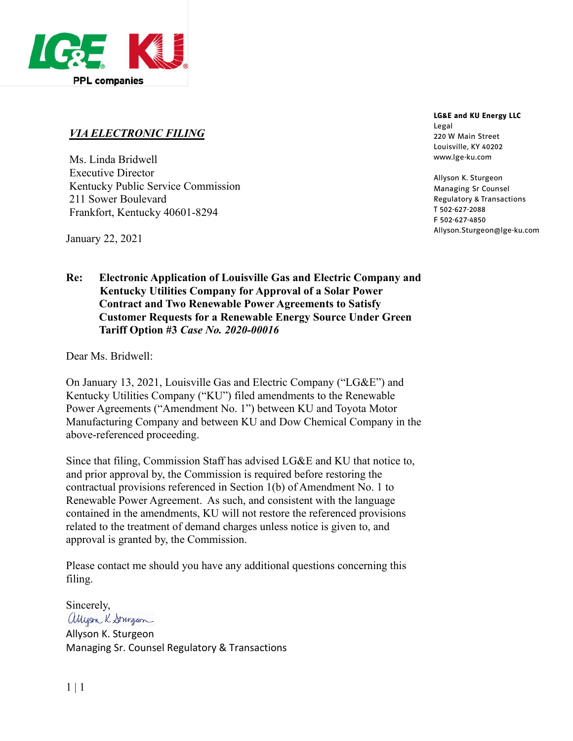

## *VIA ELECTRONIC FILING*

Ms. Linda Bridwell Executive Director Kentucky Public Service Commission 211 Sower Boulevard Frankfort, Kentucky 40601-8294

January 22, 2021

## **Re: Electronic Application of Louisville Gas and Electric Company and Kentucky Utilities Company for Approval of a Solar Power Contract and Two Renewable Power Agreements to Satisfy Customer Requests for a Renewable Energy Source Under Green Tariff Option #3** *Case No. 2020-00016*

Dear Ms. Bridwell:

On January 13, 2021, Louisville Gas and Electric Company ("LG&E") and Kentucky Utilities Company ("KU") filed amendments to the Renewable Power Agreements ("Amendment No. 1") between KU and Toyota Motor Manufacturing Company and between KU and Dow Chemical Company in the above-referenced proceeding.

Since that filing, Commission Staff has advised LG&E and KU that notice to, and prior approval by, the Commission is required before restoring the contractual provisions referenced in Section 1(b) of Amendment No. 1 to Renewable Power Agreement. As such, and consistent with the language contained in the amendments, KU will not restore the referenced provisions related to the treatment of demand charges unless notice is given to, and approval is granted by, the Commission.

Please contact me should you have any additional questions concerning this filing.

Sincerely, allyson K Stringcon

Allyson K. Sturgeon Managing Sr. Counsel Regulatory & Transactions

#### **LG&E and KU Energy LLC** Legal

220 W Main Street Louisville, KY 40202 www.lge-ku.com

Allyson K. Sturgeon Managing Sr Counsel Regulatory & Transactions T 502-627-2088 F 502-627-4850 Allyson.Sturgeon@lge-ku.com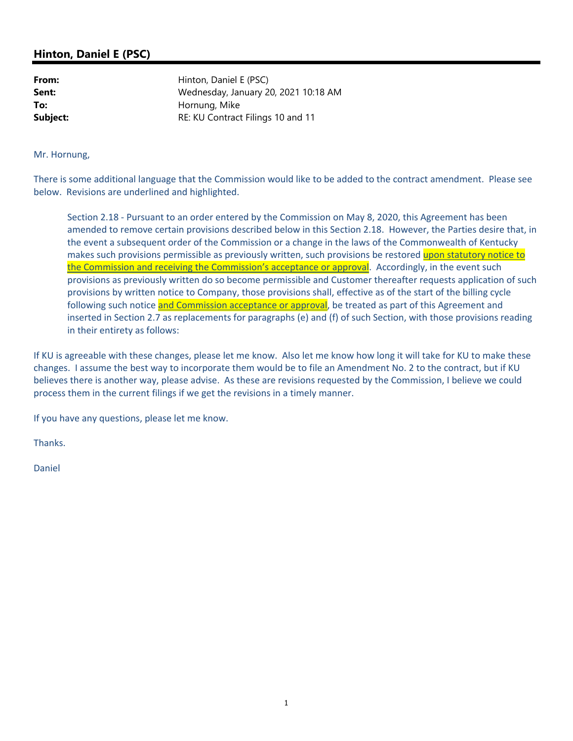## **Hinton, Daniel E (PSC)**

**From:** Hinton, Daniel E (PSC) **Sent:** Wednesday, January 20, 2021 10:18 AM **To:** Hornung, Mike **Subject:** RE: KU Contract Filings 10 and 11

Mr. Hornung,

There is some additional language that the Commission would like to be added to the contract amendment. Please see below. Revisions are underlined and highlighted.

Section 2.18 ‐ Pursuant to an order entered by the Commission on May 8, 2020, this Agreement has been amended to remove certain provisions described below in this Section 2.18. However, the Parties desire that, in the event a subsequent order of the Commission or a change in the laws of the Commonwealth of Kentucky makes such provisions permissible as previously written, such provisions be restored upon statutory notice to the Commission and receiving the Commission's acceptance or approval. Accordingly, in the event such provisions as previously written do so become permissible and Customer thereafter requests application of such provisions by written notice to Company, those provisions shall, effective as of the start of the billing cycle following such notice and Commission acceptance or approval, be treated as part of this Agreement and inserted in Section 2.7 as replacements for paragraphs (e) and (f) of such Section, with those provisions reading in their entirety as follows:

If KU is agreeable with these changes, please let me know. Also let me know how long it will take for KU to make these changes. I assume the best way to incorporate them would be to file an Amendment No. 2 to the contract, but if KU believes there is another way, please advise. As these are revisions requested by the Commission, I believe we could process them in the current filings if we get the revisions in a timely manner.

If you have any questions, please let me know.

Thanks.

Daniel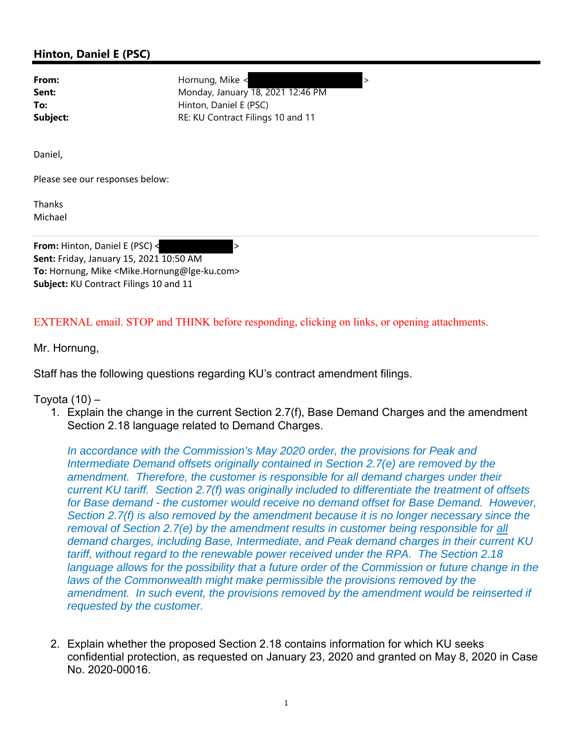## **Hinton, Daniel E (PSC)**

**From:** Hornung, Mike <  $\rightarrow$ **Sent:** Monday, January 18, 2021 12:46 PM **To:** Hinton, Daniel E (PSC) **Subject:** RE: KU Contract Filings 10 and 11

Daniel,

Please see our responses below:

Thanks Michael

**From:** Hinton, Daniel E (PSC) < > **Sent:** Friday, January 15, 2021 10:50 AM **To:** Hornung, Mike <Mike.Hornung@lge‐ku.com> **Subject:** KU Contract Filings 10 and 11

EXTERNAL email. STOP and THINK before responding, clicking on links, or opening attachments.

Mr. Hornung,

Staff has the following questions regarding KU's contract amendment filings.

Toyota (10) –

1. Explain the change in the current Section 2.7(f), Base Demand Charges and the amendment Section 2.18 language related to Demand Charges.

*In accordance with the Commission's May 2020 order, the provisions for Peak and Intermediate Demand offsets originally contained in Section 2.7(e) are removed by the amendment. Therefore, the customer is responsible for all demand charges under their current KU tariff. Section 2.7(f) was originally included to differentiate the treatment of offsets for Base demand - the customer would receive no demand offset for Base Demand. However, Section 2.7(f) is also removed by the amendment because it is no longer necessary since the removal of Section 2.7(e) by the amendment results in customer being responsible for all demand charges, including Base, Intermediate, and Peak demand charges in their current KU tariff, without regard to the renewable power received under the RPA. The Section 2.18 language allows for the possibility that a future order of the Commission or future change in the* laws of the Commonwealth might make permissible the provisions removed by the *amendment. In such event, the provisions removed by the amendment would be reinserted if requested by the customer.* 

2. Explain whether the proposed Section 2.18 contains information for which KU seeks confidential protection, as requested on January 23, 2020 and granted on May 8, 2020 in Case No. 2020-00016.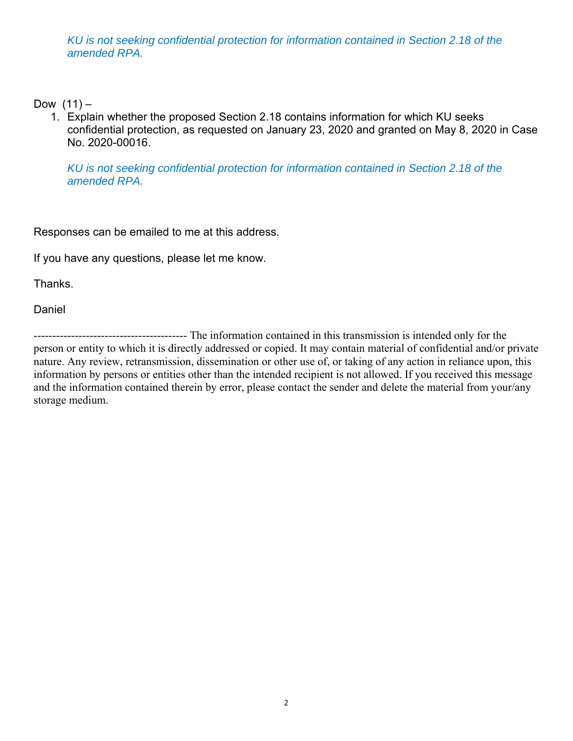*KU is not seeking confidential protection for information contained in Section 2.18 of the amended RPA.* 

Dow  $(11) -$ 

1. Explain whether the proposed Section 2.18 contains information for which KU seeks confidential protection, as requested on January 23, 2020 and granted on May 8, 2020 in Case No. 2020-00016.

*KU is not seeking confidential protection for information contained in Section 2.18 of the amended RPA.*

Responses can be emailed to me at this address.

If you have any questions, please let me know.

Thanks.

Daniel

----------------------------------------- The information contained in this transmission is intended only for the person or entity to which it is directly addressed or copied. It may contain material of confidential and/or private nature. Any review, retransmission, dissemination or other use of, or taking of any action in reliance upon, this information by persons or entities other than the intended recipient is not allowed. If you received this message and the information contained therein by error, please contact the sender and delete the material from your/any storage medium.